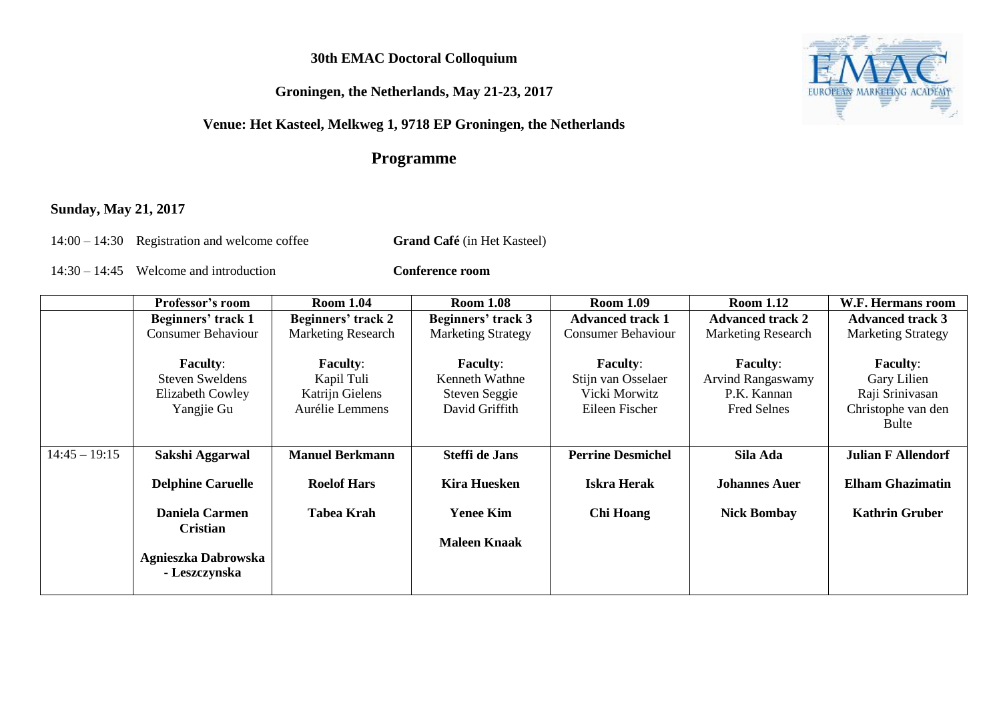#### **30th EMAC Doctoral Colloquium**

### **Groningen, the Netherlands, May 21-23, 2017**

### **Venue: Het Kasteel, Melkweg 1, 9718 EP Groningen, the Netherlands**

# **Programme**

### **Sunday, May 21, 2017**

14:00 – 14:30 Registration and welcome coffee **Grand Café** (in Het Kasteel)

14:30 – 14:45 Welcome and introduction **Conference room**

|                 | Professor's room          | <b>Room 1.04</b>          | <b>Room 1.08</b>          | <b>Room 1.09</b>          | <b>Room 1.12</b>          | W.F. Hermans room         |
|-----------------|---------------------------|---------------------------|---------------------------|---------------------------|---------------------------|---------------------------|
|                 | <b>Beginners' track 1</b> | <b>Beginners' track 2</b> | <b>Beginners' track 3</b> | <b>Advanced track 1</b>   | <b>Advanced track 2</b>   | <b>Advanced track 3</b>   |
|                 | <b>Consumer Behaviour</b> | <b>Marketing Research</b> | <b>Marketing Strategy</b> | <b>Consumer Behaviour</b> | <b>Marketing Research</b> | <b>Marketing Strategy</b> |
|                 |                           |                           |                           |                           |                           |                           |
|                 | <b>Faculty:</b>           | <b>Faculty:</b>           | <b>Faculty:</b>           | <b>Faculty:</b>           | <b>Faculty:</b>           | <b>Faculty:</b>           |
|                 | Steven Sweldens           | Kapil Tuli                | Kenneth Wathne            | Stijn van Osselaer        | <b>Arvind Rangaswamy</b>  | Gary Lilien               |
|                 | Elizabeth Cowley          | Katrijn Gielens           | Steven Seggie             | Vicki Morwitz             | P.K. Kannan               | Raji Srinivasan           |
|                 | Yangjie Gu                | Aurélie Lemmens           | David Griffith            | Eileen Fischer            | <b>Fred Selnes</b>        | Christophe van den        |
|                 |                           |                           |                           |                           |                           | Bulte                     |
|                 |                           |                           |                           |                           |                           |                           |
| $14:45 - 19:15$ | Sakshi Aggarwal           | <b>Manuel Berkmann</b>    | <b>Steffi de Jans</b>     | <b>Perrine Desmichel</b>  | Sila Ada                  | <b>Julian F Allendorf</b> |
|                 |                           |                           |                           |                           |                           |                           |
|                 | <b>Delphine Caruelle</b>  | <b>Roelof Hars</b>        | Kira Huesken              | <b>Iskra Herak</b>        | <b>Johannes Auer</b>      | Elham Ghazimatin          |
|                 |                           |                           |                           |                           |                           |                           |
|                 | <b>Daniela Carmen</b>     | Tabea Krah                | <b>Yenee Kim</b>          | <b>Chi Hoang</b>          | <b>Nick Bombay</b>        | <b>Kathrin Gruber</b>     |
|                 | <b>Cristian</b>           |                           |                           |                           |                           |                           |
|                 |                           |                           | <b>Maleen Knaak</b>       |                           |                           |                           |
|                 | Agnieszka Dabrowska       |                           |                           |                           |                           |                           |
|                 | - Leszczynska             |                           |                           |                           |                           |                           |
|                 |                           |                           |                           |                           |                           |                           |

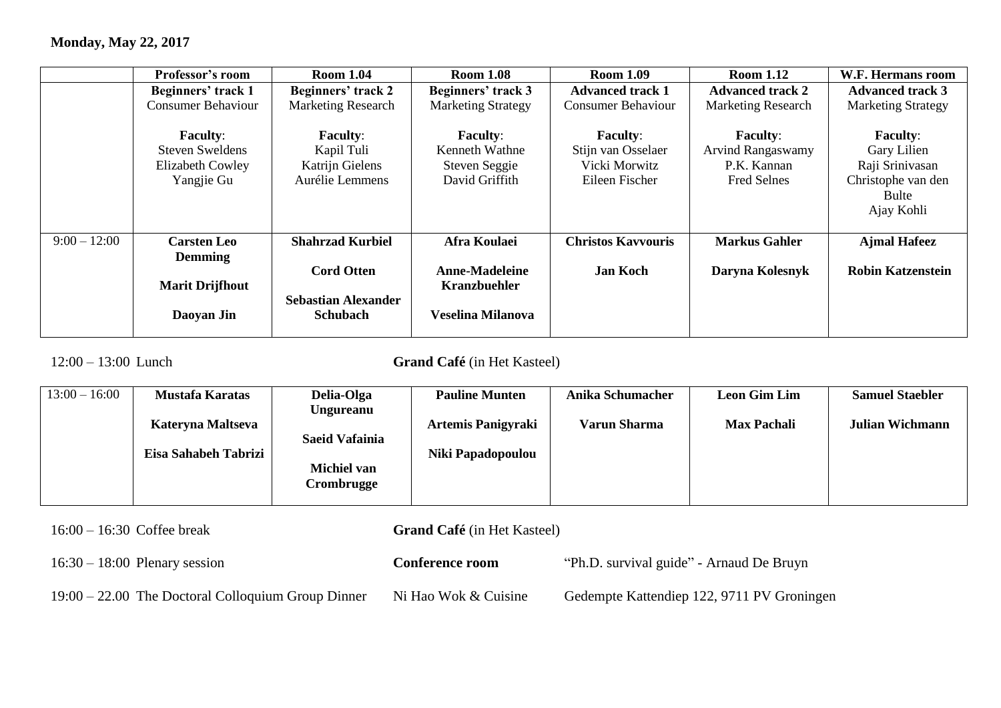**Monday, May 22, 2017**

|                | Professor's room                                                            | <b>Room 1.04</b>                                                    | <b>Room 1.08</b>                                                     | <b>Room 1.09</b>                                                         | <b>Room 1.12</b>                                                                 | W.F. Hermans room                                                                              |
|----------------|-----------------------------------------------------------------------------|---------------------------------------------------------------------|----------------------------------------------------------------------|--------------------------------------------------------------------------|----------------------------------------------------------------------------------|------------------------------------------------------------------------------------------------|
|                | <b>Beginners' track 1</b><br><b>Consumer Behaviour</b>                      | <b>Beginners' track 2</b><br><b>Marketing Research</b>              | Beginners' track 3<br><b>Marketing Strategy</b>                      | <b>Advanced track 1</b><br><b>Consumer Behaviour</b>                     | <b>Advanced track 2</b><br><b>Marketing Research</b>                             | <b>Advanced track 3</b><br><b>Marketing Strategy</b>                                           |
|                | <b>Faculty:</b><br>Steven Sweldens<br><b>Elizabeth Cowley</b><br>Yangjie Gu | <b>Faculty:</b><br>Kapil Tuli<br>Katrijn Gielens<br>Aurélie Lemmens | <b>Faculty:</b><br>Kenneth Wathne<br>Steven Seggie<br>David Griffith | <b>Faculty:</b><br>Stijn van Osselaer<br>Vicki Morwitz<br>Eileen Fischer | <b>Faculty:</b><br><b>Arvind Rangaswamy</b><br>P.K. Kannan<br><b>Fred Selnes</b> | <b>Faculty:</b><br>Gary Lilien<br>Raji Srinivasan<br>Christophe van den<br>Bulte<br>Ajay Kohli |
| $9:00 - 12:00$ | <b>Carsten Leo</b><br><b>Demming</b>                                        | <b>Shahrzad Kurbiel</b>                                             | Afra Koulaei                                                         | <b>Christos Kavvouris</b>                                                | <b>Markus Gahler</b>                                                             | <b>Ajmal Hafeez</b>                                                                            |
|                | <b>Marit Drijfhout</b><br>Daoyan Jin                                        | <b>Cord Otten</b><br><b>Sebastian Alexander</b><br><b>Schubach</b>  | <b>Anne-Madeleine</b><br><b>Kranzbuehler</b><br>Veselina Milanova    | <b>Jan Koch</b>                                                          | Daryna Kolesnyk                                                                  | <b>Robin Katzenstein</b>                                                                       |

12:00 – 13:00 Lunch **Grand Café** (in Het Kasteel)

| $13:00 - 16:00$ | <b>Mustafa Karatas</b> | Delia-Olga            | <b>Pauline Munten</b>     | Anika Schumacher | <b>Leon Gim Lim</b> | <b>Samuel Staebler</b> |
|-----------------|------------------------|-----------------------|---------------------------|------------------|---------------------|------------------------|
|                 |                        | <b>Ungureanu</b>      |                           |                  |                     |                        |
|                 | Kateryna Maltseva      |                       | <b>Artemis Panigyraki</b> | Varun Sharma     | <b>Max Pachali</b>  | Julian Wichmann        |
|                 |                        | <b>Saeid Vafainia</b> |                           |                  |                     |                        |
|                 | Eisa Sahabeh Tabrizi   |                       | Niki Papadopoulou         |                  |                     |                        |
|                 |                        | Michiel van           |                           |                  |                     |                        |
|                 |                        | Crombrugge            |                           |                  |                     |                        |
|                 |                        |                       |                           |                  |                     |                        |

## 16:00 – 16:30 Coffee break **Grand Café** (in Het Kasteel)

| $16:30 - 18:00$ Plenary session                      | Conference room      | "Ph.D. survival guide" - Arnaud De Bruyn   |
|------------------------------------------------------|----------------------|--------------------------------------------|
| $19:00 - 22.00$ The Doctoral Colloquium Group Dinner | Ni Hao Wok & Cuisine | Gedempte Kattendiep 122, 9711 PV Groningen |